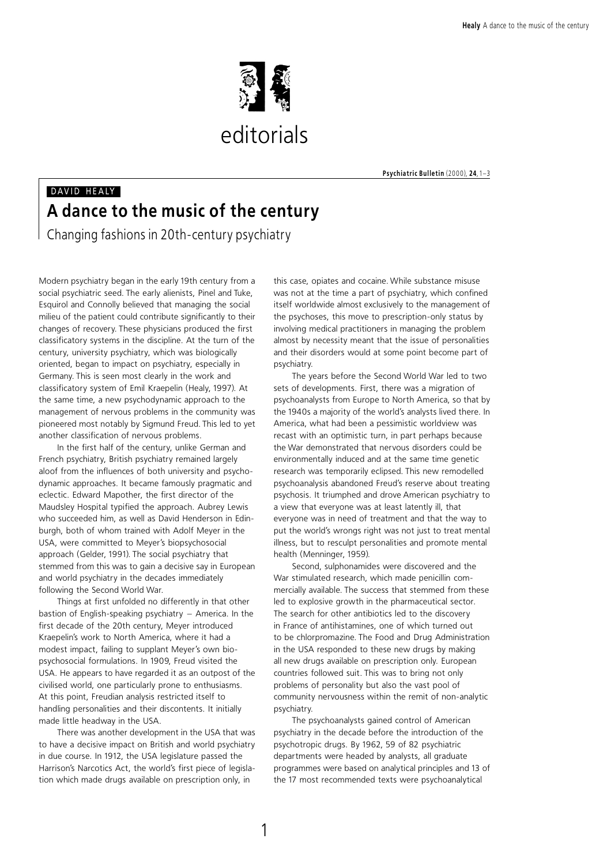

Psychiatric Bulletin (2000), 24, 1-3

## DAVID HEALY A dance to the music of the century

Changing fashions in 20th-century psychiatry

Modern psychiatry began in the early 19th century from a social psychiatric seed. The early alienists, Pinel and Tuke, Esquirol and Connolly believed that managing the social milieu of the patient could contribute significantly to their changes of recovery. These physicians produced the first classificatory systems in the discipline. At the turn of the century, university psychiatry, which was biologically oriented, began to impact on psychiatry, especially in Germany. This is seen most clearly in the work and classificatory system of Emil Kraepelin (Healy, 1997). At the same time, a new psychodynamic approach to the management of nervous problems in the community was pioneered most notably by Sigmund Freud. This led to yet another classification of nervous problems.

In the first half of the century, unlike German and French psychiatry, British psychiatry remained largely aloof from the influences of both university and psychodynamic approaches. It became famously pragmatic and eclectic. Edward Mapother, the first director of the Maudsley Hospital typified the approach. Aubrey Lewis who succeeded him, as well as David Henderson in Edinburgh, both of whom trained with Adolf Meyer in the USA, were committed to Meyer's biopsychosocial approach (Gelder, 1991). The social psychiatry that stemmed from this was to gain a decisive say in European and world psychiatry in the decades immediately following the Second World War.

Things at first unfolded no differently in that other bastion of English-speaking psychiatry  $-$  America. In the first decade of the 20th century, Meyer introduced Kraepelin's work to North America, where it had a modest impact, failing to supplant Meyer's own biopsychosocial formulations. In 1909, Freud visited the USA. He appears to have regarded it as an outpost of the civilised world, one particularly prone to enthusiasms. At this point, Freudian analysis restricted itself to handling personalities and their discontents. It initially made little headway in the USA.

There was another development in the USA that was to have a decisive impact on British and world psychiatry in due course. In 1912, the USA legislature passed the Harrison's Narcotics Act, the world's first piece of legislation which made drugs available on prescription only, in

this case, opiates and cocaine. While substance misuse was not at the time a part of psychiatry, which confined itself worldwide almost exclusively to the management of the psychoses, this move to prescription-only status by involving medical practitioners in managing the problem almost by necessity meant that the issue of personalities and their disorders would at some point become part of psychiatry.

The years before the Second World War led to two sets of developments. First, there was a migration of psychoanalysts from Europe to North America, so that by the 1940s a majority of the world's analysts lived there. In America, what had been a pessimistic worldview was recast with an optimistic turn, in part perhaps because the War demonstrated that nervous disorders could be environmentally induced and at the same time genetic research was temporarily eclipsed. This new remodelled psychoanalysis abandoned Freud's reserve about treating psychosis. It triumphed and drove American psychiatry to a view that everyone was at least latently ill, that everyone was in need of treatment and that the way to put the world's wrongs right was not just to treat mental illness, but to resculpt personalities and promote mental health (Menninger, 1959).

Second, sulphonamides were discovered and the War stimulated research, which made penicillin commercially available. The success that stemmed from these led to explosive growth in the pharmaceutical sector. The search for other antibiotics led to the discovery in France of antihistamines, one of which turned out to be chlorpromazine. The Food and Drug Administration in the USA responded to these new drugs by making all new drugs available on prescription only. European countries followed suit. This was to bring not only problems of personality but also the vast pool of community nervousness within the remit of non-analytic psychiatry.

The psychoanalysts gained control of American psychiatry in the decade before the introduction of the psychotropic drugs. By 1962, 59 of 82 psychiatric departments were headed by analysts, all graduate programmes were based on analytical principles and 13 of the 17 most recommended texts were psychoanalytical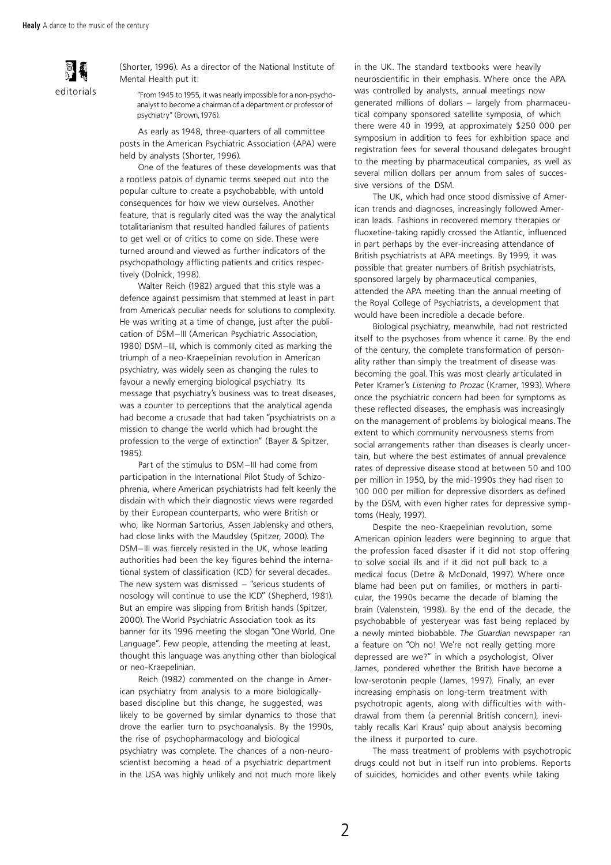editorials

(Shorter, 1996). As a director of the National Institute of Mental Health put it:

"From 1945 to 1955, it was nearly impossible for a non-psychoanalyst to become a chairman of a department or professor of psychiatry" (Brown, 1976).

As early as 1948, three-quarters of all committee posts in the American Psychiatric Association (APA) were held by analysts (Shorter, 1996).

One of the features of these developments was that a rootless patois of dynamic terms seeped out into the popular culture to create a psychobabble, with untold consequences for how we view ourselves. Another feature, that is regularly cited was the way the analytical totalitarianism that resulted handled failures of patients to get well or of critics to come on side. These were turned around and viewed as further indicators of the psychopathology afflicting patients and critics respectively (Dolnick, 1998).

Walter Reich (1982) argued that this style was a defence against pessimism that stemmed at least in part from America's peculiar needs for solutions to complexity. He was writing at a time of change, just after the publication of DSM-III (American Psychiatric Association, 1980) DSM-III, which is commonly cited as marking the triumph of a neo-Kraepelinian revolution in American psychiatry, was widely seen as changing the rules to favour a newly emerging biological psychiatry. Its message that psychiatry's business was to treat diseases, was a counter to perceptions that the analytical agenda had become a crusade that had taken "psychiatrists on a mission to change the world which had brought the profession to the verge of extinction" (Bayer & Spitzer,  $1985$ 

Part of the stimulus to DSM-III had come from participation in the International Pilot Study of Schizophrenia, where American psychiatrists had felt keenly the disdain with which their diagnostic views were regarded by their European counterparts, who were British or who, like Norman Sartorius, Assen Jablensky and others, had close links with the Maudsley (Spitzer, 2000). The DSM-III was fiercely resisted in the UK, whose leading authorities had been the key figures behind the international system of classification (ICD) for several decades. The new system was dismissed  $-$  "serious students of nosology will continue to use the ICD" (Shepherd, 1981). But an empire was slipping from British hands (Spitzer, 2000). The World Psychiatric Association took as its banner for its 1996 meeting the slogan "One World, One Language". Few people, attending the meeting at least, thought this language was anything other than biological or neo-Kraepelinian.

Reich (1982) commented on the change in American psychiatry from analysis to a more biologicallybased discipline but this change, he suggested, was likely to be governed by similar dynamics to those that drove the earlier turn to psychoanalysis. By the 1990s. the rise of psychopharmacology and biological psychiatry was complete. The chances of a non-neuroscientist becoming a head of a psychiatric department in the USA was highly unlikely and not much more likely in the UK. The standard textbooks were heavily neuroscientific in their emphasis. Where once the APA was controlled by analysts, annual meetings now generated millions of dollars - largely from pharmaceutical company sponsored satellite symposia, of which there were 40 in 1999, at approximately \$250 000 per symposium in addition to fees for exhibition space and registration fees for several thousand delegates brought to the meeting by pharmaceutical companies, as well as several million dollars per annum from sales of successive versions of the DSM.

The UK, which had once stood dismissive of American trends and diagnoses, increasingly followed American leads. Fashions in recovered memory therapies or fluoxetine-taking rapidly crossed the Atlantic, influenced in part perhaps by the ever-increasing attendance of British psychiatrists at APA meetings. By 1999, it was possible that greater numbers of British psychiatrists. sponsored largely by pharmaceutical companies, attended the APA meeting than the annual meeting of the Roval College of Psychiatrists, a development that would have been incredible a decade before.

Biological psychiatry, meanwhile, had not restricted itself to the psychoses from whence it came. By the end of the century, the complete transformation of personality rather than simply the treatment of disease was becoming the goal. This was most clearly articulated in Peter Kramer's Listening to Prozac (Kramer, 1993). Where once the psychiatric concern had been for symptoms as these reflected diseases, the emphasis was increasingly on the management of problems by biological means. The extent to which community nervousness stems from social arrangements rather than diseases is clearly uncertain, but where the best estimates of annual prevalence rates of depressive disease stood at between 50 and 100 per million in 1950, by the mid-1990s they had risen to 100 000 per million for depressive disorders as defined by the DSM, with even higher rates for depressive symptoms (Healy, 1997).

Despite the neo-Kraepelinian revolution, some American opinion leaders were beginning to argue that the profession faced disaster if it did not stop offering to solve social ills and if it did not pull back to a medical focus (Detre & McDonald, 1997). Where once blame had been put on families, or mothers in particular, the 1990s became the decade of blaming the brain (Valenstein, 1998). By the end of the decade, the psychobabble of yesteryear was fast being replaced by a newly minted biobabble. The Guardian newspaper ran a feature on "Oh no! We're not really getting more depressed are we?" in which a psychologist, Oliver James, pondered whether the British have become a low-serotonin people (James, 1997). Finally, an ever increasing emphasis on long-term treatment with psychotropic agents, along with difficulties with withdrawal from them (a perennial British concern), inevitably recalls Karl Kraus' quip about analysis becoming the illness it purported to cure.

The mass treatment of problems with psychotropic drugs could not but in itself run into problems. Reports of suicides, homicides and other events while taking